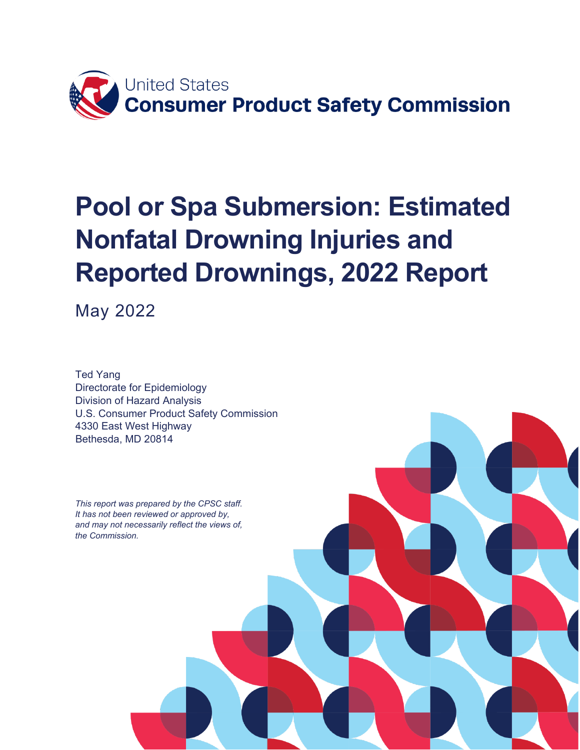

# **Pool or Spa Submersion: Estimated Nonfatal Drowning Injuries and Reported Drownings, 2022 Report**

May 2022

Ted Yang Directorate for Epidemiology Division of Hazard Analysis U.S. Consumer Product Safety Commission 4330 East West Highway Bethesda, MD 20814

*This report was prepared by the CPSC staff. It has not been reviewed or approved by, and may not necessarily reflect the views of, the Commission.*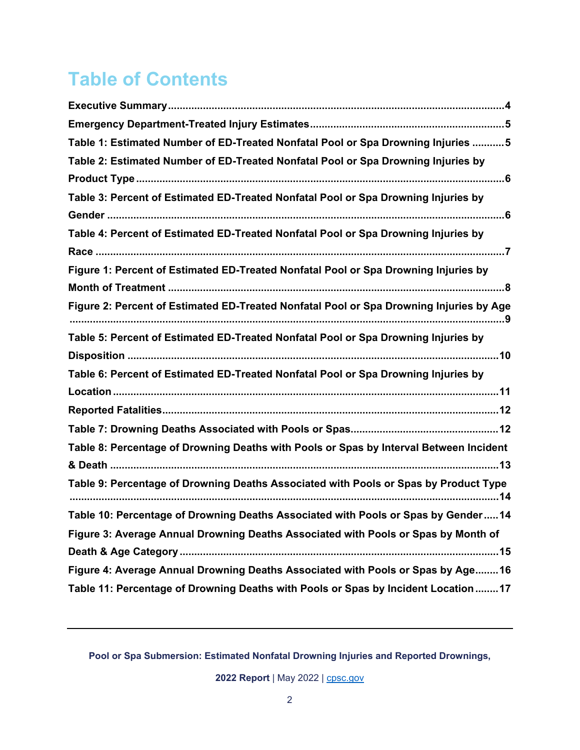# **Table of Contents**

| Table 1: Estimated Number of ED-Treated Nonfatal Pool or Spa Drowning Injuries  5       |
|-----------------------------------------------------------------------------------------|
| Table 2: Estimated Number of ED-Treated Nonfatal Pool or Spa Drowning Injuries by       |
|                                                                                         |
| Table 3: Percent of Estimated ED-Treated Nonfatal Pool or Spa Drowning Injuries by      |
|                                                                                         |
| Table 4: Percent of Estimated ED-Treated Nonfatal Pool or Spa Drowning Injuries by      |
|                                                                                         |
| Figure 1: Percent of Estimated ED-Treated Nonfatal Pool or Spa Drowning Injuries by     |
| Figure 2: Percent of Estimated ED-Treated Nonfatal Pool or Spa Drowning Injuries by Age |
| Table 5: Percent of Estimated ED-Treated Nonfatal Pool or Spa Drowning Injuries by      |
|                                                                                         |
| Table 6: Percent of Estimated ED-Treated Nonfatal Pool or Spa Drowning Injuries by      |
|                                                                                         |
|                                                                                         |
|                                                                                         |
| Table 8: Percentage of Drowning Deaths with Pools or Spas by Interval Between Incident  |
|                                                                                         |
| Table 9: Percentage of Drowning Deaths Associated with Pools or Spas by Product Type    |
| Table 10: Percentage of Drowning Deaths Associated with Pools or Spas by Gender 14      |
| Figure 3: Average Annual Drowning Deaths Associated with Pools or Spas by Month of      |
|                                                                                         |
| Figure 4: Average Annual Drowning Deaths Associated with Pools or Spas by Age 16        |
| Table 11: Percentage of Drowning Deaths with Pools or Spas by Incident Location 17      |

**Pool or Spa Submersion: Estimated Nonfatal Drowning Injuries and Reported Drownings,**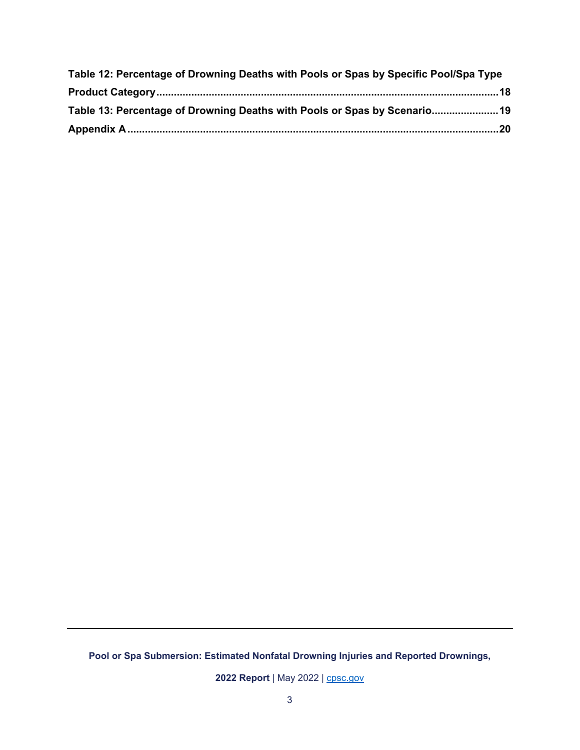| Table 12: Percentage of Drowning Deaths with Pools or Spas by Specific Pool/Spa Type |  |
|--------------------------------------------------------------------------------------|--|
|                                                                                      |  |
| Table 13: Percentage of Drowning Deaths with Pools or Spas by Scenario 19            |  |
|                                                                                      |  |

**Pool or Spa Submersion: Estimated Nonfatal Drowning Injuries and Reported Drownings,**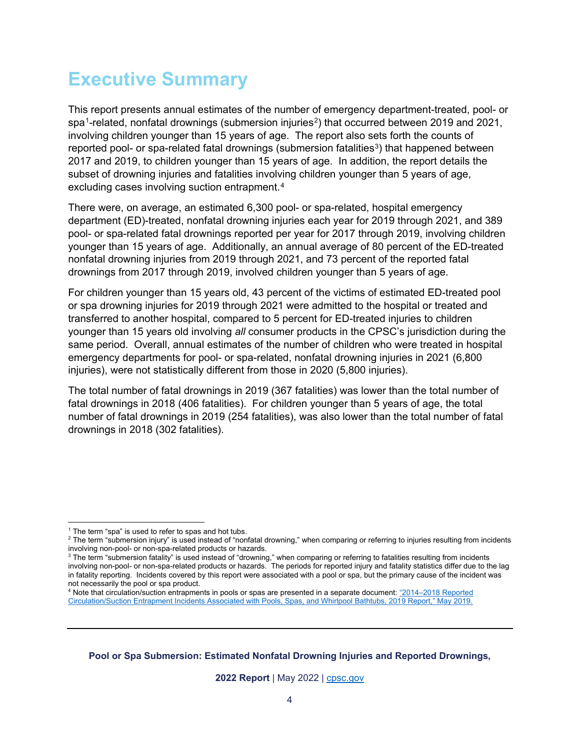### <span id="page-3-0"></span>**Executive Summary**

This report presents annual estimates of the number of emergency department-treated, pool- or spa<sup>[1](#page-3-1)</sup>-related, nonfatal drownings (submersion injuries<sup>2</sup>) that occurred between 2019 and 2021, involving children younger than 15 years of age. The report also sets forth the counts of reported pool- or spa-related fatal drownings (submersion fatalities<sup>3</sup>) that happened between 2017 and 2019, to children younger than 15 years of age. In addition, the report details the subset of drowning injuries and fatalities involving children younger than 5 years of age, excluding cases involving suction entrapment.[4](#page-3-4)

There were, on average, an estimated 6,300 pool- or spa-related, hospital emergency department (ED)-treated, nonfatal drowning injuries each year for 2019 through 2021, and 389 pool- or spa-related fatal drownings reported per year for 2017 through 2019, involving children younger than 15 years of age. Additionally, an annual average of 80 percent of the ED-treated nonfatal drowning injuries from 2019 through 2021, and 73 percent of the reported fatal drownings from 2017 through 2019, involved children younger than 5 years of age.

For children younger than 15 years old, 43 percent of the victims of estimated ED-treated pool or spa drowning injuries for 2019 through 2021 were admitted to the hospital or treated and transferred to another hospital, compared to 5 percent for ED-treated injuries to children younger than 15 years old involving *all* consumer products in the CPSC's jurisdiction during the same period. Overall, annual estimates of the number of children who were treated in hospital emergency departments for pool- or spa-related, nonfatal drowning injuries in 2021 (6,800 injuries), were not statistically different from those in 2020 (5,800 injuries).

The total number of fatal drownings in 2019 (367 fatalities) was lower than the total number of fatal drownings in 2018 (406 fatalities). For children younger than 5 years of age, the total number of fatal drownings in 2019 (254 fatalities), was also lower than the total number of fatal drownings in 2018 (302 fatalities).

<span id="page-3-4"></span>4 Note that circulation/suction entrapments in pools or spas are presented in a separate document: ["2014–2018 Reported](https://www.cpsc.gov/s3fs-public/2019_Circulation_Entrapment.pdf)  [Circulation/Suction Entrapment Incidents Associated with Pools, Spas, and Whirlpool Bathtubs, 2019 Report," May 2019.](https://www.cpsc.gov/s3fs-public/2019_Circulation_Entrapment.pdf)

**Pool or Spa Submersion: Estimated Nonfatal Drowning Injuries and Reported Drownings,** 

 $\overline{a}$ <sup>1</sup> The term "spa" is used to refer to spas and hot tubs.

<span id="page-3-2"></span><span id="page-3-1"></span> $^2$  The term "submersion injury" is used instead of "nonfatal drowning," when comparing or referring to injuries resulting from incidents involving non-pool- or non-spa-related products or hazards.

<span id="page-3-3"></span> $^3$  The term "submersion fatality" is used instead of "drowning," when comparing or referring to fatalities resulting from incidents involving non-pool- or non-spa-related products or hazards. The periods for reported injury and fatality statistics differ due to the lag in fatality reporting. Incidents covered by this report were associated with a pool or spa, but the primary cause of the incident was not necessarily the pool or spa product.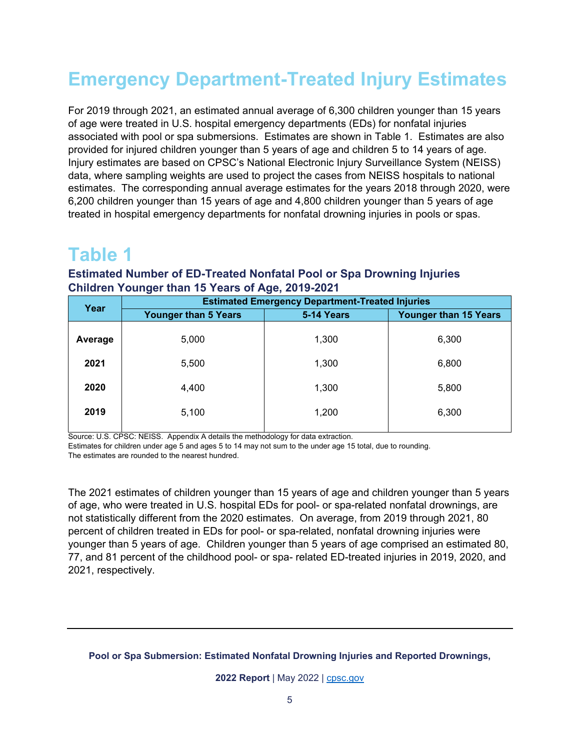# <span id="page-4-0"></span>**Emergency Department-Treated Injury Estimates**

For 2019 through 2021, an estimated annual average of 6,300 children younger than 15 years of age were treated in U.S. hospital emergency departments (EDs) for nonfatal injuries associated with pool or spa submersions. Estimates are shown in Table 1. Estimates are also provided for injured children younger than 5 years of age and children 5 to 14 years of age. Injury estimates are based on CPSC's National Electronic Injury Surveillance System (NEISS) data, where sampling weights are used to project the cases from NEISS hospitals to national estimates. The corresponding annual average estimates for the years 2018 through 2020, were 6,200 children younger than 15 years of age and 4,800 children younger than 5 years of age treated in hospital emergency departments for nonfatal drowning injuries in pools or spas.

### <span id="page-4-1"></span>**Table 1**

#### **Estimated Number of ED-Treated Nonfatal Pool or Spa Drowning Injuries Children Younger than 15 Years of Age, 2019-2021**

| Year    | $\sim$<br>- -<br><b>Estimated Emergency Department-Treated Injuries</b> |            |                              |  |  |  |
|---------|-------------------------------------------------------------------------|------------|------------------------------|--|--|--|
|         | <b>Younger than 5 Years</b>                                             | 5-14 Years | <b>Younger than 15 Years</b> |  |  |  |
| Average | 5,000                                                                   | 1,300      | 6,300                        |  |  |  |
| 2021    | 5,500                                                                   | 1,300      | 6,800                        |  |  |  |
| 2020    | 4,400                                                                   | 1,300      | 5,800                        |  |  |  |
| 2019    | 5,100                                                                   | 1,200      | 6,300                        |  |  |  |
|         |                                                                         |            |                              |  |  |  |

Source: U.S. CPSC: NEISS. Appendix A details the methodology for data extraction.

Estimates for children under age 5 and ages 5 to 14 may not sum to the under age 15 total, due to rounding.

The estimates are rounded to the nearest hundred.

The 2021 estimates of children younger than 15 years of age and children younger than 5 years of age, who were treated in U.S. hospital EDs for pool- or spa-related nonfatal drownings, are not statistically different from the 2020 estimates. On average, from 2019 through 2021, 80 percent of children treated in EDs for pool- or spa-related, nonfatal drowning injuries were younger than 5 years of age. Children younger than 5 years of age comprised an estimated 80, 77, and 81 percent of the childhood pool- or spa- related ED-treated injuries in 2019, 2020, and 2021, respectively.

#### **Pool or Spa Submersion: Estimated Nonfatal Drowning Injuries and Reported Drownings,**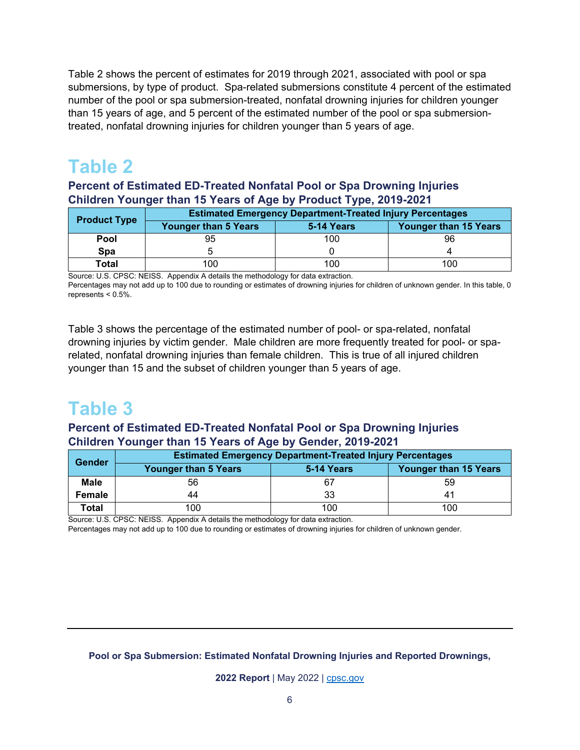Table 2 shows the percent of estimates for 2019 through 2021, associated with pool or spa submersions, by type of product. Spa-related submersions constitute 4 percent of the estimated number of the pool or spa submersion-treated, nonfatal drowning injuries for children younger than 15 years of age, and 5 percent of the estimated number of the pool or spa submersiontreated, nonfatal drowning injuries for children younger than 5 years of age.

### <span id="page-5-0"></span>**Table 2**

**Percent of Estimated ED-Treated Nonfatal Pool or Spa Drowning Injuries Children Younger than 15 Years of Age by Product Type, 2019-2021**

| <b>Product Type</b> | <b>Estimated Emergency Department-Treated Injury Percentages</b> |            |                              |  |  |
|---------------------|------------------------------------------------------------------|------------|------------------------------|--|--|
|                     | <b>Younger than 5 Years</b>                                      | 5-14 Years | <b>Younger than 15 Years</b> |  |  |
| <b>Pool</b>         | 95                                                               | 100        | 96                           |  |  |
| <b>Spa</b>          |                                                                  |            |                              |  |  |
| Total               | 100                                                              | 100        | 100                          |  |  |

Source: U.S. CPSC: NEISS. Appendix A details the methodology for data extraction.

Percentages may not add up to 100 due to rounding or estimates of drowning injuries for children of unknown gender. In this table, 0 represents < 0.5%.

Table 3 shows the percentage of the estimated number of pool- or spa-related, nonfatal drowning injuries by victim gender. Male children are more frequently treated for pool- or sparelated, nonfatal drowning injuries than female children. This is true of all injured children younger than 15 and the subset of children younger than 5 years of age.

### <span id="page-5-1"></span>**Table 3**

#### **Percent of Estimated ED-Treated Nonfatal Pool or Spa Drowning Injuries Children Younger than 15 Years of Age by Gender, 2019-2021**

| Gender       | <b>Estimated Emergency Department-Treated Injury Percentages</b>          |     |     |  |  |  |  |
|--------------|---------------------------------------------------------------------------|-----|-----|--|--|--|--|
|              | <b>Younger than 15 Years</b><br><b>Younger than 5 Years</b><br>5-14 Years |     |     |  |  |  |  |
| <b>Male</b>  | 56                                                                        | 67  | 59  |  |  |  |  |
| Female       | 44                                                                        | 33  |     |  |  |  |  |
| <b>Total</b> | 100                                                                       | 100 | 100 |  |  |  |  |

Source: U.S. CPSC: NEISS. Appendix A details the methodology for data extraction.

Percentages may not add up to 100 due to rounding or estimates of drowning injuries for children of unknown gender.

#### **Pool or Spa Submersion: Estimated Nonfatal Drowning Injuries and Reported Drownings,**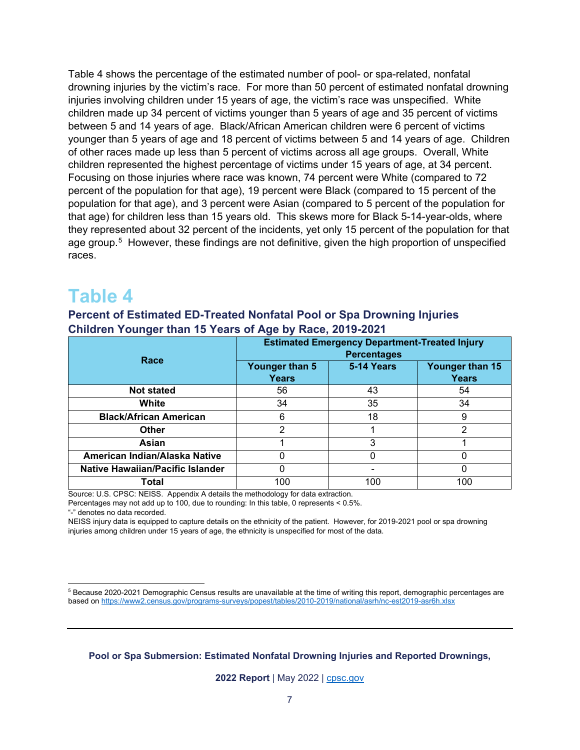Table 4 shows the percentage of the estimated number of pool- or spa-related, nonfatal drowning injuries by the victim's race. For more than 50 percent of estimated nonfatal drowning injuries involving children under 15 years of age, the victim's race was unspecified. White children made up 34 percent of victims younger than 5 years of age and 35 percent of victims between 5 and 14 years of age. Black/African American children were 6 percent of victims younger than 5 years of age and 18 percent of victims between 5 and 14 years of age. Children of other races made up less than 5 percent of victims across all age groups. Overall, White children represented the highest percentage of victims under 15 years of age, at 34 percent. Focusing on those injuries where race was known, 74 percent were White (compared to 72 percent of the population for that age), 19 percent were Black (compared to 15 percent of the population for that age), and 3 percent were Asian (compared to 5 percent of the population for that age) for children less than 15 years old. This skews more for Black 5-14-year-olds, where they represented about 32 percent of the incidents, yet only 15 percent of the population for that age group.<sup>[5](#page-6-1)</sup> However, these findings are not definitive, given the high proportion of unspecified races.

### <span id="page-6-0"></span>**Table 4**

**Percent of Estimated ED-Treated Nonfatal Pool or Spa Drowning Injuries Children Younger than 15 Years of Age by Race, 2019-2021** 

| Race                                    | <b>Estimated Emergency Department-Treated Injury</b><br><b>Percentages</b> |            |                                 |  |
|-----------------------------------------|----------------------------------------------------------------------------|------------|---------------------------------|--|
|                                         | Younger than 5<br><b>Years</b>                                             | 5-14 Years | Younger than 15<br><b>Years</b> |  |
| <b>Not stated</b>                       | 56                                                                         | 43         | 54                              |  |
| White                                   | 34                                                                         | 35         | 34                              |  |
| <b>Black/African American</b>           | 6                                                                          | 18         | 9                               |  |
| <b>Other</b>                            | າ                                                                          |            | າ                               |  |
| Asian                                   |                                                                            | 3          |                                 |  |
| American Indian/Alaska Native           |                                                                            |            |                                 |  |
| <b>Native Hawaiian/Pacific Islander</b> | 0                                                                          | -          |                                 |  |
| Total                                   | 100                                                                        | 100        | 100                             |  |

Source: U.S. CPSC: NEISS. Appendix A details the methodology for data extraction.

Percentages may not add up to 100, due to rounding: In this table, 0 represents < 0.5%.

"-" denotes no data recorded.

NEISS injury data is equipped to capture details on the ethnicity of the patient. However, for 2019-2021 pool or spa drowning injuries among children under 15 years of age, the ethnicity is unspecified for most of the data.

**Pool or Spa Submersion: Estimated Nonfatal Drowning Injuries and Reported Drownings,** 

<span id="page-6-1"></span> $\overline{a}$  $^{\rm 5}$  Because 2020-2021 Demographic Census results are unavailable at the time of writing this report, demographic percentages are based on<https://www2.census.gov/programs-surveys/popest/tables/2010-2019/national/asrh/nc-est2019-asr6h.xlsx>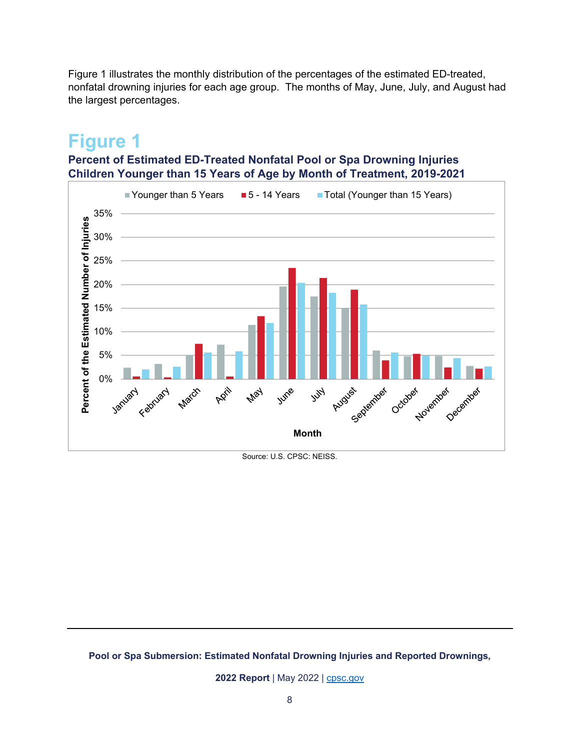Figure 1 illustrates the monthly distribution of the percentages of the estimated ED-treated, nonfatal drowning injuries for each age group. The months of May, June, July, and August had the largest percentages.

### <span id="page-7-0"></span>**Figure 1**

### **Percent of Estimated ED-Treated Nonfatal Pool or Spa Drowning Injuries Children Younger than 15 Years of Age by Month of Treatment, 2019-2021**



Source: U.S. CPSC: NEISS.

#### **Pool or Spa Submersion: Estimated Nonfatal Drowning Injuries and Reported Drownings,**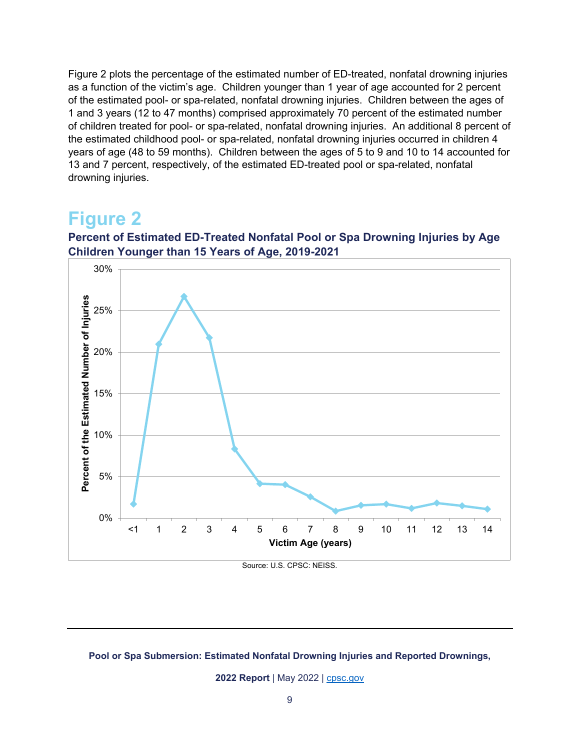Figure 2 plots the percentage of the estimated number of ED-treated, nonfatal drowning injuries as a function of the victim's age. Children younger than 1 year of age accounted for 2 percent of the estimated pool- or spa-related, nonfatal drowning injuries. Children between the ages of 1 and 3 years (12 to 47 months) comprised approximately 70 percent of the estimated number of children treated for pool- or spa-related, nonfatal drowning injuries. An additional 8 percent of the estimated childhood pool- or spa-related, nonfatal drowning injuries occurred in children 4 years of age (48 to 59 months). Children between the ages of 5 to 9 and 10 to 14 accounted for 13 and 7 percent, respectively, of the estimated ED-treated pool or spa-related, nonfatal drowning injuries.

### <span id="page-8-0"></span>**Figure 2**



**Percent of Estimated ED-Treated Nonfatal Pool or Spa Drowning Injuries by Age Children Younger than 15 Years of Age, 2019-2021**

Source: U.S. CPSC: NEISS.

#### **Pool or Spa Submersion: Estimated Nonfatal Drowning Injuries and Reported Drownings,**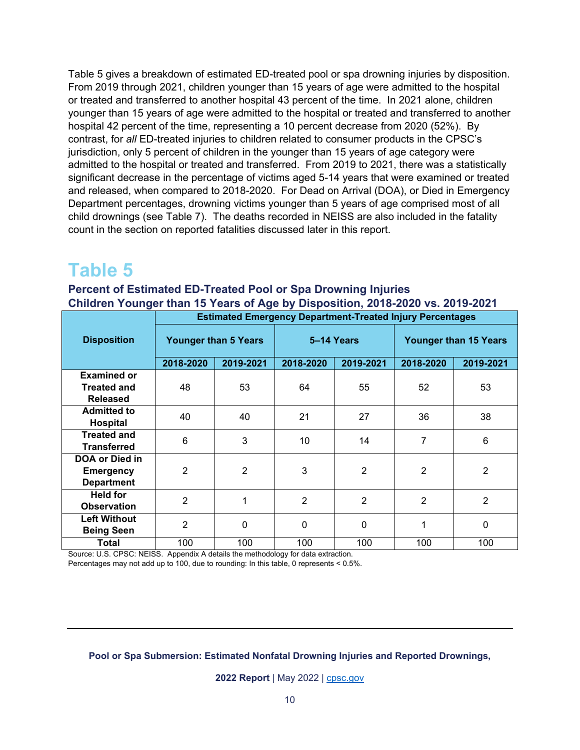Table 5 gives a breakdown of estimated ED-treated pool or spa drowning injuries by disposition. From 2019 through 2021, children younger than 15 years of age were admitted to the hospital or treated and transferred to another hospital 43 percent of the time. In 2021 alone, children younger than 15 years of age were admitted to the hospital or treated and transferred to another hospital 42 percent of the time, representing a 10 percent decrease from 2020 (52%). By contrast, for *all* ED-treated injuries to children related to consumer products in the CPSC's jurisdiction, only 5 percent of children in the younger than 15 years of age category were admitted to the hospital or treated and transferred. From 2019 to 2021, there was a statistically significant decrease in the percentage of victims aged 5-14 years that were examined or treated and released, when compared to 2018-2020. For Dead on Arrival (DOA), or Died in Emergency Department percentages, drowning victims younger than 5 years of age comprised most of all child drownings (see Table 7). The deaths recorded in NEISS are also included in the fatality count in the section on reported fatalities discussed later in this report.

### <span id="page-9-0"></span>**Table 5**

#### **Percent of Estimated ED-Treated Pool or Spa Drowning Injuries Children Younger than 15 Years of Age by Disposition, 2018-2020 vs. 2019-2021**

|                     | <b>Estimated Emergency Department-Treated Injury Percentages</b> |                |                |                |                              |                |
|---------------------|------------------------------------------------------------------|----------------|----------------|----------------|------------------------------|----------------|
| <b>Disposition</b>  | <b>Younger than 5 Years</b>                                      |                | 5-14 Years     |                | <b>Younger than 15 Years</b> |                |
|                     | 2018-2020                                                        | 2019-2021      | 2018-2020      | 2019-2021      | 2018-2020                    | 2019-2021      |
| <b>Examined or</b>  |                                                                  |                |                |                |                              |                |
| <b>Treated and</b>  | 48                                                               | 53             | 64             | 55             | 52                           | 53             |
| <b>Released</b>     |                                                                  |                |                |                |                              |                |
| <b>Admitted to</b>  | 40                                                               | 40             | 21             | 27             | 36                           | 38             |
| <b>Hospital</b>     |                                                                  |                |                |                |                              |                |
| <b>Treated and</b>  | 6                                                                | 3              | 10             | 14             | 7                            | 6              |
| <b>Transferred</b>  |                                                                  |                |                |                |                              |                |
| DOA or Died in      |                                                                  |                |                |                |                              |                |
| <b>Emergency</b>    | 2                                                                | $\overline{2}$ | 3              | $\overline{2}$ | $\overline{2}$               | $\overline{2}$ |
| <b>Department</b>   |                                                                  |                |                |                |                              |                |
| <b>Held for</b>     | $\overline{2}$                                                   | 1              | $\overline{2}$ | $\overline{2}$ | $\overline{2}$               | $\overline{2}$ |
| <b>Observation</b>  |                                                                  |                |                |                |                              |                |
| <b>Left Without</b> | 2                                                                | $\mathbf{0}$   | $\mathbf 0$    | $\mathbf{0}$   |                              | 0              |
| <b>Being Seen</b>   |                                                                  |                |                |                |                              |                |
| Total               | 100                                                              | 100            | 100            | 100            | 100                          | 100            |

Source: U.S. CPSC: NEISS. Appendix A details the methodology for data extraction. Percentages may not add up to 100, due to rounding: In this table, 0 represents < 0.5%.

**Pool or Spa Submersion: Estimated Nonfatal Drowning Injuries and Reported Drownings,**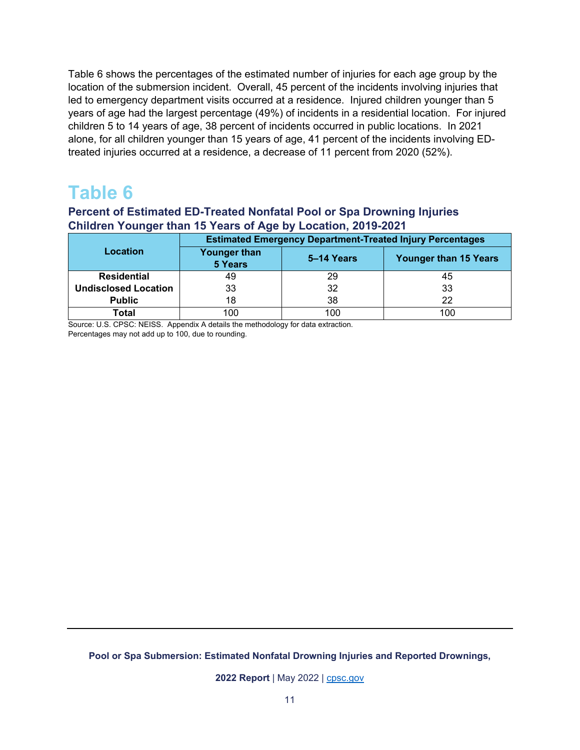Table 6 shows the percentages of the estimated number of injuries for each age group by the location of the submersion incident. Overall, 45 percent of the incidents involving injuries that led to emergency department visits occurred at a residence. Injured children younger than 5 years of age had the largest percentage (49%) of incidents in a residential location. For injured children 5 to 14 years of age, 38 percent of incidents occurred in public locations. In 2021 alone, for all children younger than 15 years of age, 41 percent of the incidents involving EDtreated injuries occurred at a residence, a decrease of 11 percent from 2020 (52%).

### <span id="page-10-0"></span>**Table 6**

#### **Percent of Estimated ED-Treated Nonfatal Pool or Spa Drowning Injuries Children Younger than 15 Years of Age by Location, 2019-2021**

|                             | <b>Estimated Emergency Department-Treated Injury Percentages</b> |            |                              |  |
|-----------------------------|------------------------------------------------------------------|------------|------------------------------|--|
| Location                    | <b>Younger than</b><br><b>5 Years</b>                            | 5–14 Years | <b>Younger than 15 Years</b> |  |
| <b>Residential</b>          | 49                                                               | 29         | 45                           |  |
| <b>Undisclosed Location</b> | 33                                                               | 32         | 33                           |  |
| <b>Public</b>               | 18                                                               | 38         | 22                           |  |
| Total                       | 100                                                              | 100        | 100                          |  |

Source: U.S. CPSC: NEISS. Appendix A details the methodology for data extraction. Percentages may not add up to 100, due to rounding.

**Pool or Spa Submersion: Estimated Nonfatal Drowning Injuries and Reported Drownings,**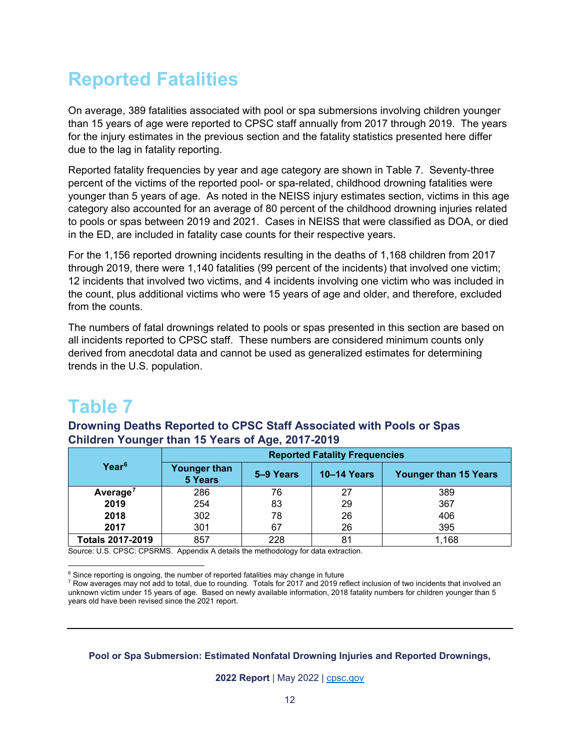## <span id="page-11-0"></span>**Reported Fatalities**

On average, 389 fatalities associated with pool or spa submersions involving children younger than 15 years of age were reported to CPSC staff annually from 2017 through 2019. The years for the injury estimates in the previous section and the fatality statistics presented here differ due to the lag in fatality reporting.

Reported fatality frequencies by year and age category are shown in Table 7. Seventy-three percent of the victims of the reported pool- or spa-related, childhood drowning fatalities were younger than 5 years of age. As noted in the NEISS injury estimates section, victims in this age category also accounted for an average of 80 percent of the childhood drowning injuries related to pools or spas between 2019 and 2021. Cases in NEISS that were classified as DOA, or died in the ED, are included in fatality case counts for their respective years.

For the 1,156 reported drowning incidents resulting in the deaths of 1,168 children from 2017 through 2019, there were 1,140 fatalities (99 percent of the incidents) that involved one victim; 12 incidents that involved two victims, and 4 incidents involving one victim who was included in the count, plus additional victims who were 15 years of age and older, and therefore, excluded from the counts.

The numbers of fatal drownings related to pools or spas presented in this section are based on all incidents reported to CPSC staff. These numbers are considered minimum counts only derived from anecdotal data and cannot be used as generalized estimates for determining trends in the U.S. population.

### <span id="page-11-1"></span>**Table 7**

#### **Drowning Deaths Reported to CPSC Staff Associated with Pools or Spas Children Younger than 15 Years of Age, 2017-2019**

|                      | <b>Reported Fatality Frequencies</b> |           |                    |                              |  |
|----------------------|--------------------------------------|-----------|--------------------|------------------------------|--|
| Year <sup>6</sup>    | Younger than<br>5 Years              | 5-9 Years | <b>10-14 Years</b> | <b>Younger than 15 Years</b> |  |
| Average <sup>7</sup> | 286                                  | 76        | 27                 | 389                          |  |
| 2019                 | 254                                  | 83        | 29                 | 367                          |  |
| 2018                 | 302                                  | 78        | 26                 | 406                          |  |
| 2017                 | 301                                  | 67        | 26                 | 395                          |  |
| Totals 2017-2019     | 857                                  | 228       | 81                 | 1,168                        |  |

Source: U.S. CPSC: CPSRMS. Appendix A details the methodology for data extraction.

**Pool or Spa Submersion: Estimated Nonfatal Drowning Injuries and Reported Drownings,** 

 6 Since reporting is ongoing, the number of reported fatalities may change in future

<span id="page-11-3"></span><span id="page-11-2"></span> $^7$  Row averages may not add to total, due to rounding.  $\,$  Totals for 2017 and 2019 reflect inclusion of two incidents that involved an  $\,$ unknown victim under 15 years of age. Based on newly available information, 2018 fatality numbers for children younger than 5 years old have been revised since the 2021 report.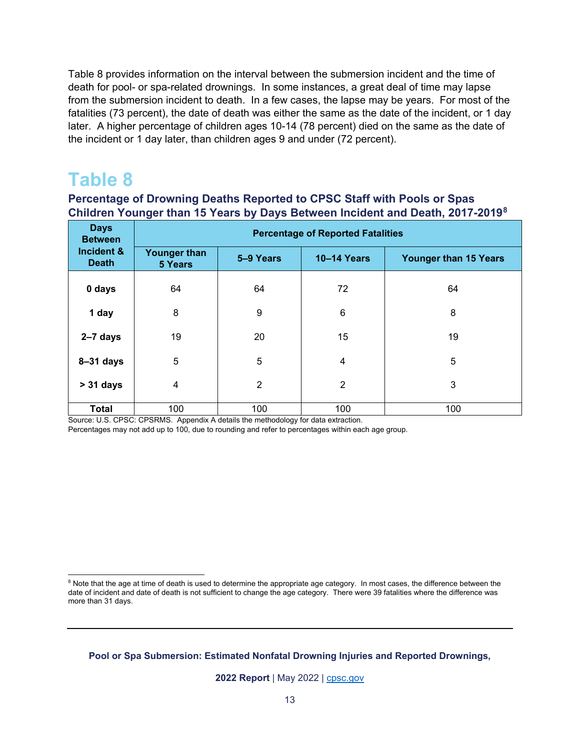Table 8 provides information on the interval between the submersion incident and the time of death for pool- or spa-related drownings. In some instances, a great deal of time may lapse from the submersion incident to death. In a few cases, the lapse may be years. For most of the fatalities (73 percent), the date of death was either the same as the date of the incident, or 1 day later. A higher percentage of children ages 10-14 (78 percent) died on the same as the date of the incident or 1 day later, than children ages 9 and under (72 percent).

### <span id="page-12-0"></span>**Table 8**

 $\overline{a}$ 

### **Percentage of Drowning Deaths Reported to CPSC Staff with Pools or Spas Children Younger than 15 Years by Days Between Incident and Death, 2017-2019[8](#page-12-1)**

| <b>Days</b><br><b>Between</b> | <b>Percentage of Reported Fatalities</b> |                |                    |                       |  |  |
|-------------------------------|------------------------------------------|----------------|--------------------|-----------------------|--|--|
| Incident &<br><b>Death</b>    | <b>Younger than</b><br>5 Years           | 5-9 Years      | <b>10-14 Years</b> | Younger than 15 Years |  |  |
| 0 days                        | 64                                       | 64             | 72                 | 64                    |  |  |
| 1 day                         | 8                                        | 9              | 6                  | 8                     |  |  |
| $2-7$ days                    | 19                                       | 20             | 15                 | 19                    |  |  |
| $8 - 31$ days                 | 5                                        | 5              | $\overline{4}$     | 5                     |  |  |
| $> 31$ days                   | 4                                        | $\overline{2}$ | $\overline{2}$     | 3                     |  |  |
| <b>Total</b>                  | 100                                      | 100            | 100                | 100                   |  |  |

Source: U.S. CPSC: CPSRMS. Appendix A details the methodology for data extraction.

Percentages may not add up to 100, due to rounding and refer to percentages within each age group.

<span id="page-12-1"></span> $^8$  Note that the age at time of death is used to determine the appropriate age category. In most cases, the difference between the date of incident and date of death is not sufficient to change the age category. There were 39 fatalities where the difference was more than 31 days.

**Pool or Spa Submersion: Estimated Nonfatal Drowning Injuries and Reported Drownings,**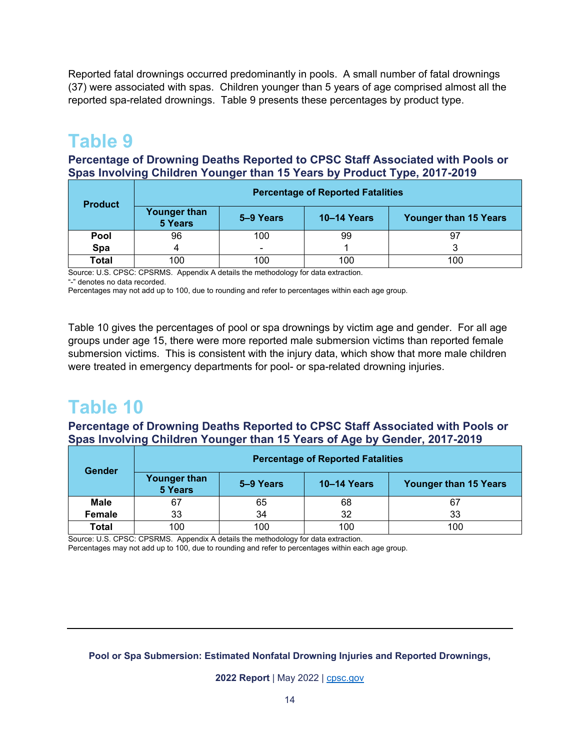Reported fatal drownings occurred predominantly in pools. A small number of fatal drownings (37) were associated with spas. Children younger than 5 years of age comprised almost all the reported spa-related drownings. Table 9 presents these percentages by product type.

### <span id="page-13-0"></span>**Table 9**

#### **Percentage of Drowning Deaths Reported to CPSC Staff Associated with Pools or Spas Involving Children Younger than 15 Years by Product Type, 2017-2019**

| <b>Product</b> | <b>Percentage of Reported Fatalities</b> |                          |                    |                              |  |
|----------------|------------------------------------------|--------------------------|--------------------|------------------------------|--|
|                | <b>Younger than</b><br>5 Years           | 5–9 Years                | <b>10-14 Years</b> | <b>Younger than 15 Years</b> |  |
| <b>Pool</b>    | 96                                       | 100                      | 99                 | 97                           |  |
| Spa            |                                          | $\overline{\phantom{0}}$ |                    | ີ                            |  |
| Total          | 100                                      | 100                      | 100                | 100                          |  |

Source: U.S. CPSC: CPSRMS. Appendix A details the methodology for data extraction.

"-" denotes no data recorded.

Percentages may not add up to 100, due to rounding and refer to percentages within each age group.

Table 10 gives the percentages of pool or spa drownings by victim age and gender. For all age groups under age 15, there were more reported male submersion victims than reported female submersion victims. This is consistent with the injury data, which show that more male children were treated in emergency departments for pool- or spa-related drowning injuries.

### <span id="page-13-1"></span>**Table 10**

**Percentage of Drowning Deaths Reported to CPSC Staff Associated with Pools or Spas Involving Children Younger than 15 Years of Age by Gender, 2017-2019**

| <b>Gender</b> | <b>Percentage of Reported Fatalities</b> |           |                    |                              |  |
|---------------|------------------------------------------|-----------|--------------------|------------------------------|--|
|               | Younger than<br>5 Years                  | 5–9 Years | <b>10–14 Years</b> | <b>Younger than 15 Years</b> |  |
| <b>Male</b>   | 67                                       | 65        | 68                 | 67                           |  |
| <b>Female</b> | 33                                       | 34        | 32                 | 33                           |  |
| <b>Total</b>  | 100                                      | 100       | 100                | 100                          |  |

Source: U.S. CPSC: CPSRMS. Appendix A details the methodology for data extraction. Percentages may not add up to 100, due to rounding and refer to percentages within each age group.

#### **Pool or Spa Submersion: Estimated Nonfatal Drowning Injuries and Reported Drownings,**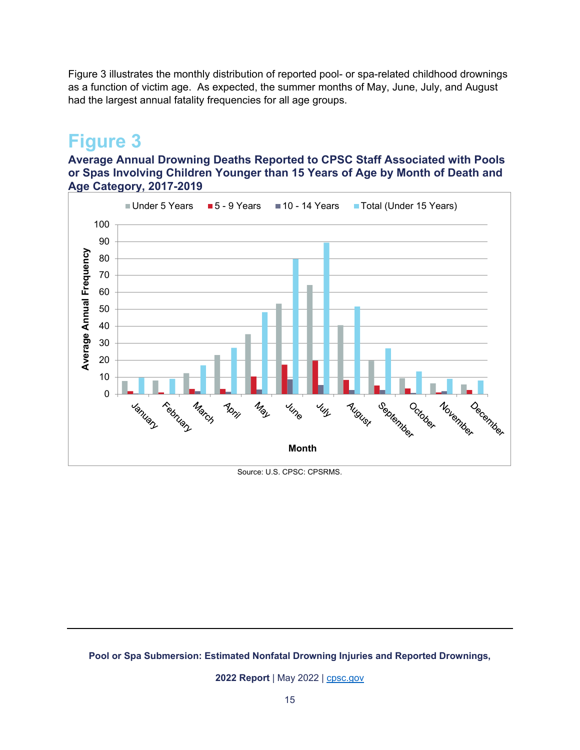Figure 3 illustrates the monthly distribution of reported pool- or spa-related childhood drownings as a function of victim age. As expected, the summer months of May, June, July, and August had the largest annual fatality frequencies for all age groups.

### <span id="page-14-0"></span>**Figure 3**

**Average Annual Drowning Deaths Reported to CPSC Staff Associated with Pools or Spas Involving Children Younger than 15 Years of Age by Month of Death and Age Category, 2017-2019**



Source: U.S. CPSC: CPSRMS.

#### **Pool or Spa Submersion: Estimated Nonfatal Drowning Injuries and Reported Drownings,**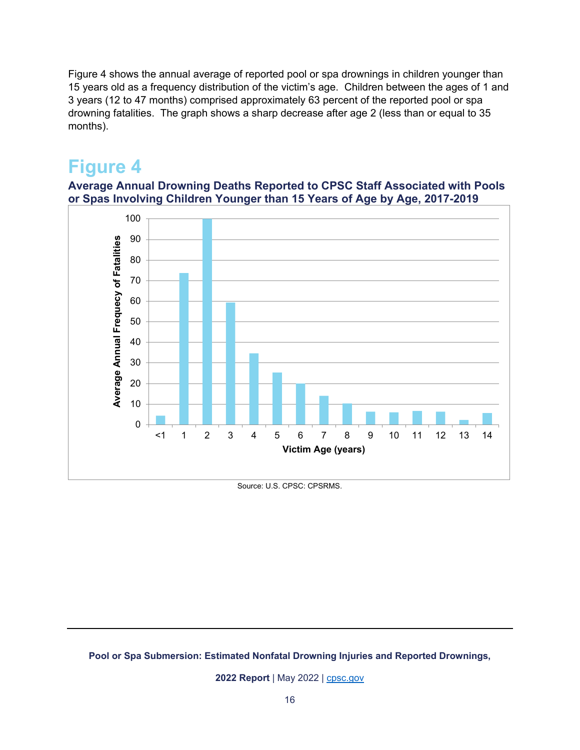Figure 4 shows the annual average of reported pool or spa drownings in children younger than 15 years old as a frequency distribution of the victim's age. Children between the ages of 1 and 3 years (12 to 47 months) comprised approximately 63 percent of the reported pool or spa drowning fatalities. The graph shows a sharp decrease after age 2 (less than or equal to 35 months).

### <span id="page-15-0"></span>**Figure 4**

**Average Annual Drowning Deaths Reported to CPSC Staff Associated with Pools or Spas Involving Children Younger than 15 Years of Age by Age, 2017-2019**



Source: U.S. CPSC: CPSRMS.

#### **Pool or Spa Submersion: Estimated Nonfatal Drowning Injuries and Reported Drownings,**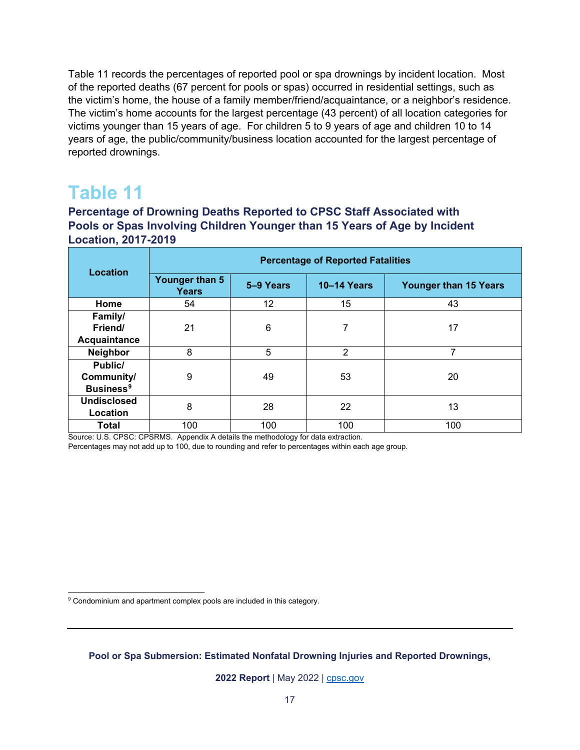Table 11 records the percentages of reported pool or spa drownings by incident location. Most of the reported deaths (67 percent for pools or spas) occurred in residential settings, such as the victim's home, the house of a family member/friend/acquaintance, or a neighbor's residence. The victim's home accounts for the largest percentage (43 percent) of all location categories for victims younger than 15 years of age. For children 5 to 9 years of age and children 10 to 14 years of age, the public/community/business location accounted for the largest percentage of reported drownings.

### <span id="page-16-0"></span>**Table 11**

 $\overline{a}$ 

**Percentage of Drowning Deaths Reported to CPSC Staff Associated with Pools or Spas Involving Children Younger than 15 Years of Age by Incident Location, 2017-2019** 

| Location                                             | <b>Percentage of Reported Fatalities</b> |           |                    |                              |  |
|------------------------------------------------------|------------------------------------------|-----------|--------------------|------------------------------|--|
|                                                      | Younger than 5<br>Years                  | 5-9 Years | <b>10-14 Years</b> | <b>Younger than 15 Years</b> |  |
| Home                                                 | 54                                       | 12        | 15                 | 43                           |  |
| Family/<br>Friend/<br>Acquaintance                   | 21                                       | 6         | 7                  | 17                           |  |
| Neighbor                                             | 8                                        | 5         | 2                  | 7                            |  |
| Public/<br>Community/<br><b>Business<sup>9</sup></b> | 9                                        | 49        | 53                 | 20                           |  |
| <b>Undisclosed</b><br>Location                       | 8                                        | 28        | 22                 | 13                           |  |
| <b>Total</b>                                         | 100                                      | 100       | 100                | 100                          |  |

Source: U.S. CPSC: CPSRMS. Appendix A details the methodology for data extraction.

Percentages may not add up to 100, due to rounding and refer to percentages within each age group.

<span id="page-16-1"></span> $^9$  Condominium and apartment complex pools are included in this category.

**Pool or Spa Submersion: Estimated Nonfatal Drowning Injuries and Reported Drownings,**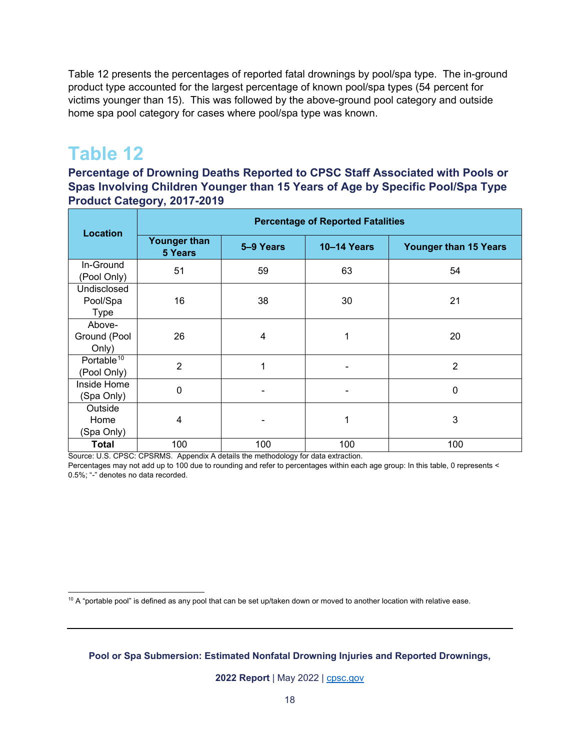Table 12 presents the percentages of reported fatal drownings by pool/spa type. The in-ground product type accounted for the largest percentage of known pool/spa types (54 percent for victims younger than 15). This was followed by the above-ground pool category and outside home spa pool category for cases where pool/spa type was known.

### <span id="page-17-0"></span>**Table 12**

**Percentage of Drowning Deaths Reported to CPSC Staff Associated with Pools or Spas Involving Children Younger than 15 Years of Age by Specific Pool/Spa Type Product Category, 2017-2019** 

| <b>Location</b>                        | <b>Percentage of Reported Fatalities</b> |           |                    |                       |  |
|----------------------------------------|------------------------------------------|-----------|--------------------|-----------------------|--|
|                                        | <b>Younger than</b><br>5 Years           | 5-9 Years | <b>10-14 Years</b> | Younger than 15 Years |  |
| In-Ground<br>(Pool Only)               | 51                                       | 59        | 63                 | 54                    |  |
| Undisclosed<br>Pool/Spa<br><b>Type</b> | 16                                       | 38        | 30                 | 21                    |  |
| Above-<br>Ground (Pool<br>Only)        | 26                                       | 4         | 1                  | 20                    |  |
| Portable <sup>10</sup><br>(Pool Only)  | $\overline{2}$                           | 1         |                    | 2                     |  |
| Inside Home<br>(Spa Only)              | $\mathbf 0$                              |           |                    | $\mathbf{0}$          |  |
| Outside<br>Home<br>(Spa Only)          | 4                                        |           | 1                  | 3                     |  |
| <b>Total</b>                           | 100                                      | 100       | 100                | 100                   |  |

Source: U.S. CPSC: CPSRMS. Appendix A details the methodology for data extraction.

Percentages may not add up to 100 due to rounding and refer to percentages within each age group: In this table, 0 represents < 0.5%; "-" denotes no data recorded.

<span id="page-17-1"></span> $\overline{a}$  $10$  A "portable pool" is defined as any pool that can be set up/taken down or moved to another location with relative ease.

**Pool or Spa Submersion: Estimated Nonfatal Drowning Injuries and Reported Drownings,**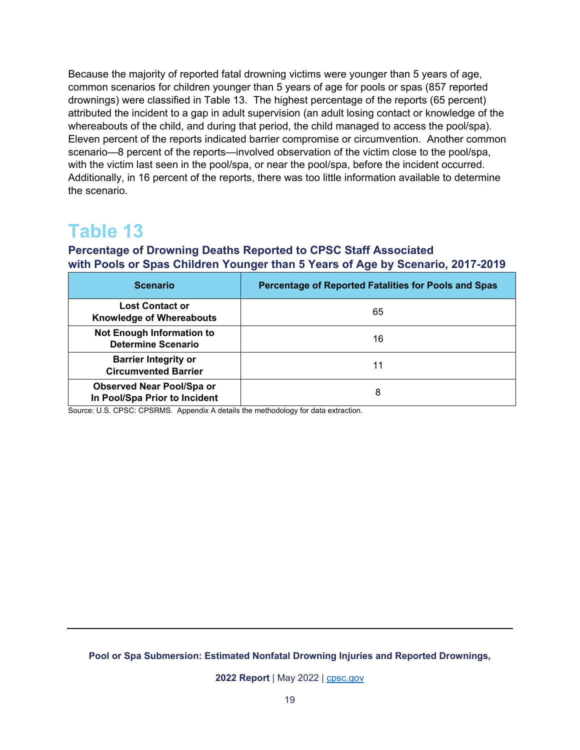Because the majority of reported fatal drowning victims were younger than 5 years of age, common scenarios for children younger than 5 years of age for pools or spas (857 reported drownings) were classified in Table 13. The highest percentage of the reports (65 percent) attributed the incident to a gap in adult supervision (an adult losing contact or knowledge of the whereabouts of the child, and during that period, the child managed to access the pool/spa). Eleven percent of the reports indicated barrier compromise or circumvention. Another common scenario—8 percent of the reports—involved observation of the victim close to the pool/spa, with the victim last seen in the pool/spa, or near the pool/spa, before the incident occurred. Additionally, in 16 percent of the reports, there was too little information available to determine the scenario.

### <span id="page-18-0"></span>**Table 13**

#### **Percentage of Drowning Deaths Reported to CPSC Staff Associated with Pools or Spas Children Younger than 5 Years of Age by Scenario, 2017-2019**

| <b>Scenario</b>                                               | Percentage of Reported Fatalities for Pools and Spas |  |  |
|---------------------------------------------------------------|------------------------------------------------------|--|--|
| <b>Lost Contact or</b><br><b>Knowledge of Whereabouts</b>     | 65                                                   |  |  |
| <b>Not Enough Information to</b><br><b>Determine Scenario</b> | 16                                                   |  |  |
| <b>Barrier Integrity or</b><br><b>Circumvented Barrier</b>    | 11                                                   |  |  |
| Observed Near Pool/Spa or<br>In Pool/Spa Prior to Incident    | 8                                                    |  |  |

Source: U.S. CPSC: CPSRMS. Appendix A details the methodology for data extraction.

**Pool or Spa Submersion: Estimated Nonfatal Drowning Injuries and Reported Drownings,**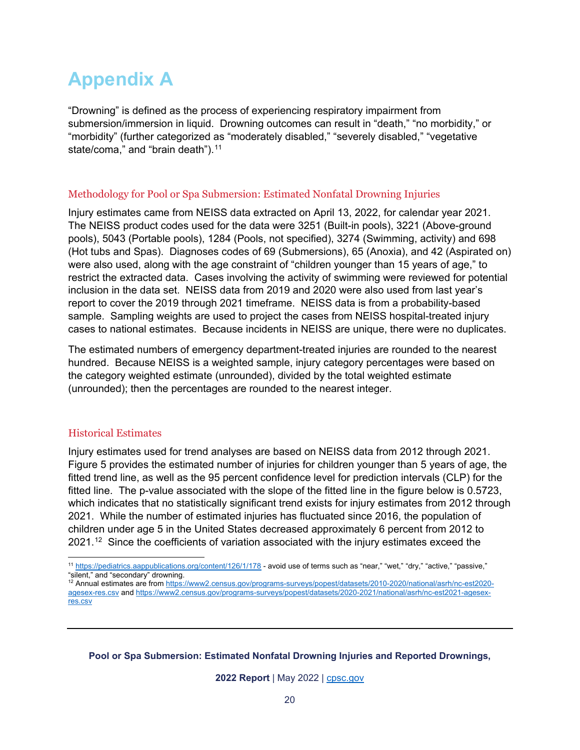# <span id="page-19-0"></span>**Appendix A**

"Drowning" is defined as the process of experiencing respiratory impairment from submersion/immersion in liquid. Drowning outcomes can result in "death," "no morbidity," or "morbidity" (further categorized as "moderately disabled," "severely disabled," "vegetative state/coma," and "brain death").<sup>[11](#page-19-1)</sup>

#### Methodology for Pool or Spa Submersion: Estimated Nonfatal Drowning Injuries

Injury estimates came from NEISS data extracted on April 13, 2022, for calendar year 2021. The NEISS product codes used for the data were 3251 (Built-in pools), 3221 (Above-ground pools), 5043 (Portable pools), 1284 (Pools, not specified), 3274 (Swimming, activity) and 698 (Hot tubs and Spas). Diagnoses codes of 69 (Submersions), 65 (Anoxia), and 42 (Aspirated on) were also used, along with the age constraint of "children younger than 15 years of age," to restrict the extracted data. Cases involving the activity of swimming were reviewed for potential inclusion in the data set. NEISS data from 2019 and 2020 were also used from last year's report to cover the 2019 through 2021 timeframe. NEISS data is from a probability-based sample. Sampling weights are used to project the cases from NEISS hospital-treated injury cases to national estimates. Because incidents in NEISS are unique, there were no duplicates.

The estimated numbers of emergency department-treated injuries are rounded to the nearest hundred. Because NEISS is a weighted sample, injury category percentages were based on the category weighted estimate (unrounded), divided by the total weighted estimate (unrounded); then the percentages are rounded to the nearest integer.

#### Historical Estimates

Injury estimates used for trend analyses are based on NEISS data from 2012 through 2021. Figure 5 provides the estimated number of injuries for children younger than 5 years of age, the fitted trend line, as well as the 95 percent confidence level for prediction intervals (CLP) for the fitted line. The p-value associated with the slope of the fitted line in the figure below is 0.5723, which indicates that no statistically significant trend exists for injury estimates from 2012 through 2021. While the number of estimated injuries has fluctuated since 2016, the population of children under age 5 in the United States decreased approximately 6 percent from 2012 to 2021.<sup>12</sup> Since the coefficients of variation associated with the injury estimates exceed the

**Pool or Spa Submersion: Estimated Nonfatal Drowning Injuries and Reported Drownings,** 

<span id="page-19-1"></span> $\overline{a}$ <sup>11</sup> <https://pediatrics.aappublications.org/content/126/1/178>- avoid use of terms such as "near," "wet," "dry," "active," "passive," "silent," and "secondary" drowning.

<span id="page-19-2"></span><sup>12</sup> Annual estimates are from [https://www2.census.gov/programs-surveys/popest/datasets/2010-2020/national/asrh/nc-est2020](https://www2.census.gov/programs-surveys/popest/datasets/2010-2020/national/asrh/nc-est2020-agesex-res.csv) [agesex-res.csv](https://www2.census.gov/programs-surveys/popest/datasets/2010-2020/national/asrh/nc-est2020-agesex-res.csv) an[d https://www2.census.gov/programs-surveys/popest/datasets/2020-2021/national/asrh/nc-est2021-agesex](https://www2.census.gov/programs-surveys/popest/datasets/2020-2021/national/asrh/nc-est2021-agesex-res.csv)[res.csv](https://www2.census.gov/programs-surveys/popest/datasets/2020-2021/national/asrh/nc-est2021-agesex-res.csv)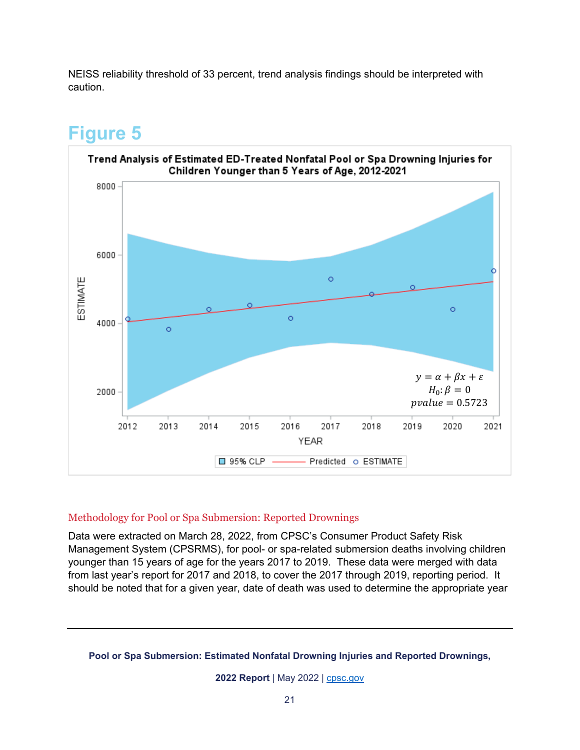NEISS reliability threshold of 33 percent, trend analysis findings should be interpreted with caution.

### **Figure 5**





#### Methodology for Pool or Spa Submersion: Reported Drownings

Data were extracted on March 28, 2022, from CPSC's Consumer Product Safety Risk Management System (CPSRMS), for pool- or spa-related submersion deaths involving children younger than 15 years of age for the years 2017 to 2019. These data were merged with data from last year's report for 2017 and 2018, to cover the 2017 through 2019, reporting period. It should be noted that for a given year, date of death was used to determine the appropriate year

#### **Pool or Spa Submersion: Estimated Nonfatal Drowning Injuries and Reported Drownings,**